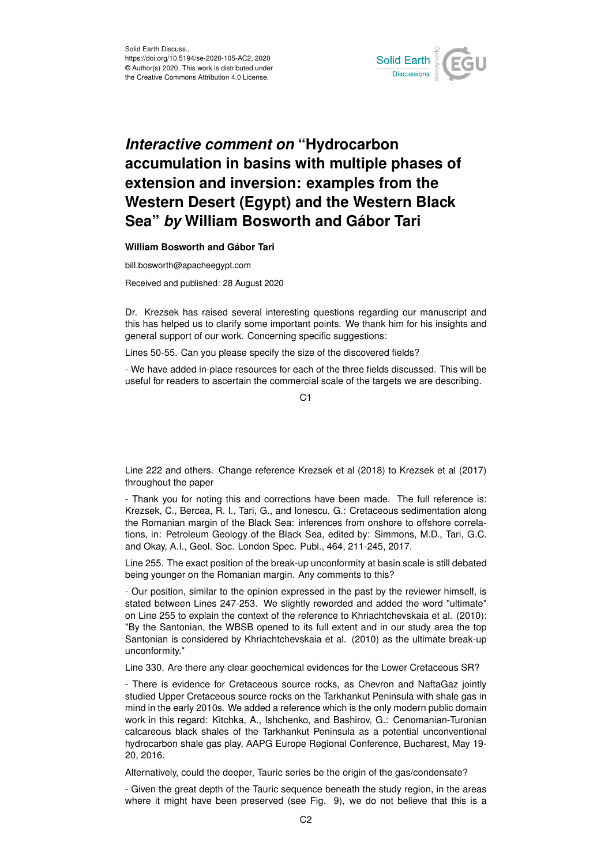

## *Interactive comment on* **"Hydrocarbon accumulation in basins with multiple phases of extension and inversion: examples from the Western Desert (Egypt) and the Western Black Sea"** *by* **William Bosworth and Gábor Tari**

## **William Bosworth and Gábor Tari**

bill.bosworth@apacheegypt.com

Received and published: 28 August 2020

Dr. Krezsek has raised several interesting questions regarding our manuscript and this has helped us to clarify some important points. We thank him for his insights and general support of our work. Concerning specific suggestions:

Lines 50-55. Can you please specify the size of the discovered fields?

- We have added in-place resources for each of the three fields discussed. This will be useful for readers to ascertain the commercial scale of the targets we are describing.

 $C<sub>1</sub>$ 

Line 222 and others. Change reference Krezsek et al (2018) to Krezsek et al (2017) throughout the paper

- Thank you for noting this and corrections have been made. The full reference is: Krezsek, C., Bercea, R. I., Tari, G., and Ionescu, G.: Cretaceous sedimentation along the Romanian margin of the Black Sea: inferences from onshore to offshore correlations, in: Petroleum Geology of the Black Sea, edited by: Simmons, M.D., Tari, G.C. and Okay, A.I., Geol. Soc. London Spec. Publ., 464, 211-245, 2017.

Line 255. The exact position of the break-up unconformity at basin scale is still debated being younger on the Romanian margin. Any comments to this?

- Our position, similar to the opinion expressed in the past by the reviewer himself, is stated between Lines 247-253. We slightly reworded and added the word "ultimate" on Line 255 to explain the context of the reference to Khriachtchevskaia et al. (2010): "By the Santonian, the WBSB opened to its full extent and in our study area the top Santonian is considered by Khriachtchevskaia et al. (2010) as the ultimate break-up unconformity."

Line 330. Are there any clear geochemical evidences for the Lower Cretaceous SR?

- There is evidence for Cretaceous source rocks, as Chevron and NaftaGaz jointly studied Upper Cretaceous source rocks on the Tarkhankut Peninsula with shale gas in mind in the early 2010s. We added a reference which is the only modern public domain work in this regard: Kitchka, A., Ishchenko, and Bashirov, G.: Cenomanian-Turonian calcareous black shales of the Tarkhankut Peninsula as a potential unconventional hydrocarbon shale gas play, AAPG Europe Regional Conference, Bucharest, May 19- 20, 2016.

Alternatively, could the deeper, Tauric series be the origin of the gas/condensate?

- Given the great depth of the Tauric sequence beneath the study region, in the areas where it might have been preserved (see Fig. 9), we do not believe that this is a